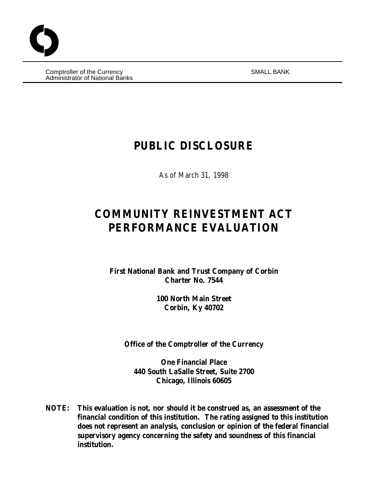Comptroller of the Currency SMALL BANK Administrator of National Banks

# **PUBLIC DISCLOSURE**

As of March 31, 1998

# **COMMUNITY REINVESTMENT ACT PERFORMANCE EVALUATION**

**First National Bank and Trust Company of Corbin Charter No. 7544**

> **100 North Main Street Corbin, Ky 40702**

**Office of the Comptroller of the Currency**

**One Financial Place 440 South LaSalle Street, Suite 2700 Chicago, Illinois 60605**

**NOTE: This evaluation is not, nor should it be construed as, an assessment of the financial condition of this institution. The rating assigned to this institution does not represent an analysis, conclusion or opinion of the federal financial supervisory agency concerning the safety and soundness of this financial institution.**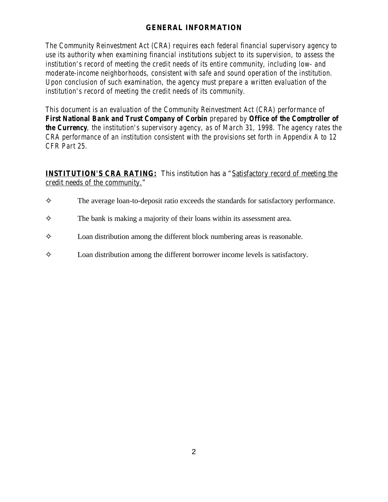# **GENERAL INFORMATION**

*The Community Reinvestment Act (CRA) requires each federal financial supervisory agency to use its authority when examining financial institutions subject to its supervision, to assess the institution's record of meeting the credit needs of its entire community, including low- and moderate-income neighborhoods, consistent with safe and sound operation of the institution. Upon conclusion of such examination, the agency must prepare a written evaluation of the institution's record of meeting the credit needs of its community.* 

*This document is an evaluation of the Community Reinvestment Act (CRA) performance of First National Bank and Trust Company of Corbin prepared by Office of the Comptroller of the Currency, the institution's supervisory agency, as of March 31, 1998. The agency rates the CRA performance of an institution consistent with the provisions set forth in Appendix A to 12 CFR Part 25.* 

**INSTITUTION'S CRA RATING:** This institution has a "Satisfactory record of meeting the credit needs of the community."

- $\diamond$  The average loan-to-deposit ratio exceeds the standards for satisfactory performance.
- $\diamond$  The bank is making a majority of their loans within its assessment area.
- $\diamond$  Loan distribution among the different block numbering areas is reasonable.
- $\Diamond$  Loan distribution among the different borrower income levels is satisfactory.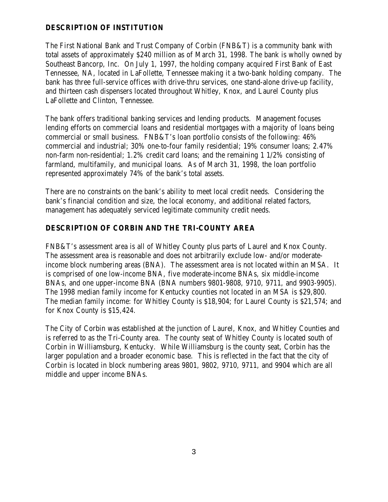## **DESCRIPTION OF INSTITUTION**

The First National Bank and Trust Company of Corbin (FNB&T) is a community bank with total assets of approximately \$240 million as of March 31, 1998. The bank is wholly owned by Southeast Bancorp, Inc. On July 1, 1997, the holding company acquired First Bank of East Tennessee, NA, located in LaFollette, Tennessee making it a two-bank holding company. The bank has three full-service offices with drive-thru services, one stand-alone drive-up facility, and thirteen cash dispensers located throughout Whitley, Knox, and Laurel County plus LaFollette and Clinton, Tennessee.

The bank offers traditional banking services and lending products. Management focuses lending efforts on commercial loans and residential mortgages with a majority of loans being commercial or small business. FNB&T's loan portfolio consists of the following: 46% commercial and industrial; 30% one-to-four family residential; 19% consumer loans; 2.47% non-farm non-residential; 1.2% credit card loans; and the remaining 1 1/2% consisting of farmland, multifamily, and municipal loans. As of March 31, 1998, the loan portfolio represented approximately 74% of the bank's total assets.

There are no constraints on the bank's ability to meet local credit needs. Considering the bank's financial condition and size, the local economy, and additional related factors, management has adequately serviced legitimate community credit needs.

# **DESCRIPTION OF CORBIN AND THE TRI-COUNTY AREA**

FNB&T's assessment area is all of Whitley County plus parts of Laurel and Knox County. The assessment area is reasonable and does not arbitrarily exclude low- and/or moderateincome block numbering areas (BNA). The assessment area is not located within an MSA. It is comprised of one low-income BNA, five moderate-income BNAs, six middle-income BNAs, and one upper-income BNA (BNA numbers 9801-9808, 9710, 9711, and 9903-9905). The 1998 median family income for Kentucky counties not located in an MSA is \$29,800. The median family income: for Whitley County is \$18,904; for Laurel County is \$21,574; and for Knox County is \$15,424.

The City of Corbin was established at the junction of Laurel, Knox, and Whitley Counties and is referred to as the Tri-County area. The county seat of Whitley County is located south of Corbin in Williamsburg, Kentucky. While Williamsburg is the county seat, Corbin has the larger population and a broader economic base. This is reflected in the fact that the city of Corbin is located in block numbering areas 9801, 9802, 9710, 9711, and 9904 which are all middle and upper income BNAs.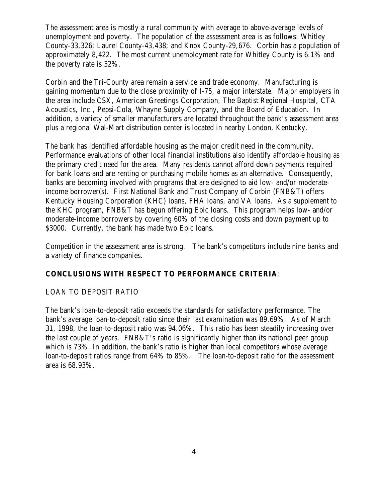The assessment area is mostly a rural community with average to above-average levels of unemployment and poverty. The population of the assessment area is as follows: Whitley County-33,326; Laurel County-43,438; and Knox County-29,676. Corbin has a population of approximately 8,422. The most current unemployment rate for Whitley County is 6.1% and the poverty rate is 32%.

Corbin and the Tri-County area remain a service and trade economy. Manufacturing is gaining momentum due to the close proximity of I-75, a major interstate. Major employers in the area include CSX, American Greetings Corporation, The Baptist Regional Hospital, CTA Acoustics, Inc., Pepsi-Cola, Whayne Supply Company, and the Board of Education. In addition, a variety of smaller manufacturers are located throughout the bank's assessment area plus a regional Wal-Mart distribution center is located in nearby London, Kentucky.

The bank has identified affordable housing as the major credit need in the community. Performance evaluations of other local financial institutions also identify affordable housing as the primary credit need for the area. Many residents cannot afford down payments required for bank loans and are renting or purchasing mobile homes as an alternative. Consequently, banks are becoming involved with programs that are designed to aid low- and/or moderateincome borrower(s). First National Bank and Trust Company of Corbin (FNB&T) offers Kentucky Housing Corporation (KHC) loans, FHA loans, and VA loans. As a supplement to the KHC program, FNB&T has begun offering Epic loans. This program helps low- and/or moderate-income borrowers by covering 60% of the closing costs and down payment up to \$3000. Currently, the bank has made two Epic loans.

Competition in the assessment area is strong. The bank's competitors include nine banks and a variety of finance companies.

## **CONCLUSIONS WITH RESPECT TO PERFORMANCE CRITERIA**:

#### LOAN TO DEPOSIT RATIO

The bank's loan-to-deposit ratio exceeds the standards for satisfactory performance. The bank's average loan-to-deposit ratio since their last examination was 89.69%. As of March 31, 1998, the loan-to-deposit ratio was 94.06%. This ratio has been steadily increasing over the last couple of years. FNB&T's ratio is significantly higher than its national peer group which is 73%. In addition, the bank's ratio is higher than local competitors whose average loan-to-deposit ratios range from 64% to 85%. The loan-to-deposit ratio for the assessment area is 68.93%.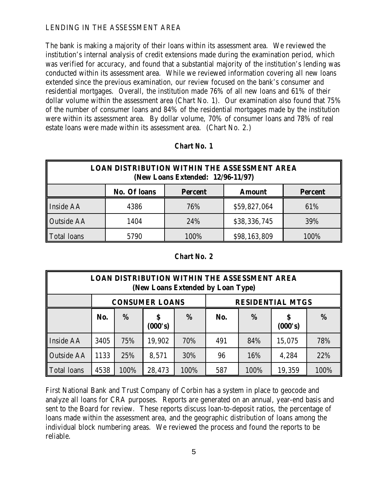#### LENDING IN THE ASSESSMENT AREA

The bank is making a majority of their loans within its assessment area. We reviewed the institution's internal analysis of credit extensions made during the examination period, which was verified for accuracy, and found that a substantial majority of the institution's lending was conducted within its assessment area. While we reviewed information covering all new loans extended since the previous examination, our review focused on the bank's consumer and residential mortgages. Overall, the institution made 76% of all new loans and 61% of their dollar volume within the assessment area (Chart No. 1). Our examination also found that 75% of the number of consumer loans and 84% of the residential mortgages made by the institution were within its assessment area. By dollar volume, 70% of consumer loans and 78% of real estate loans were made within its assessment area. (Chart No. 2.)

| <b>LOAN DISTRIBUTION WITHIN THE ASSESSMENT AREA</b><br>(New Loans Extended: 12/96-11/97) |      |      |              |      |  |  |
|------------------------------------------------------------------------------------------|------|------|--------------|------|--|--|
| <b>No. Of loans</b><br><b>Percent</b><br><b>Amount</b><br><b>Percent</b>                 |      |      |              |      |  |  |
| <b>Inside AA</b>                                                                         | 4386 | 76%  | \$59,827,064 | 61%  |  |  |
| <b>Outside AA</b>                                                                        | 1404 | 24%  | \$38,336,745 | 39%  |  |  |
| <b>Total loans</b>                                                                       | 5790 | 100% | \$98,163,809 | 100% |  |  |

#### *Chart No. 1*

#### *Chart No. 2*

| <b>LOAN DISTRIBUTION WITHIN THE ASSESSMENT AREA</b><br>(New Loans Extended by Loan Type) |                                                  |      |               |      |     |      |         |      |
|------------------------------------------------------------------------------------------|--------------------------------------------------|------|---------------|------|-----|------|---------|------|
|                                                                                          | <b>CONSUMER LOANS</b><br><b>RESIDENTIAL MTGS</b> |      |               |      |     |      |         |      |
|                                                                                          | No.                                              | %    | \$<br>(000's) | %    | No. | %    | (000's) | %    |
| Inside AA                                                                                | 3405                                             | 75%  | 19,902        | 70%  | 491 | 84%  | 15,075  | 78%  |
| <b>Outside AA</b>                                                                        | 1133                                             | 25%  | 8,571         | 30%  | 96  | 16%  | 4,284   | 22%  |
| <b>Total loans</b>                                                                       | 4538                                             | 100% | 28,473        | 100% | 587 | 100% | 19,359  | 100% |

First National Bank and Trust Company of Corbin has a system in place to geocode and analyze all loans for CRA purposes. Reports are generated on an annual, year-end basis and sent to the Board for review. These reports discuss loan-to-deposit ratios, the percentage of loans made within the assessment area, and the geographic distribution of loans among the individual block numbering areas. We reviewed the process and found the reports to be reliable.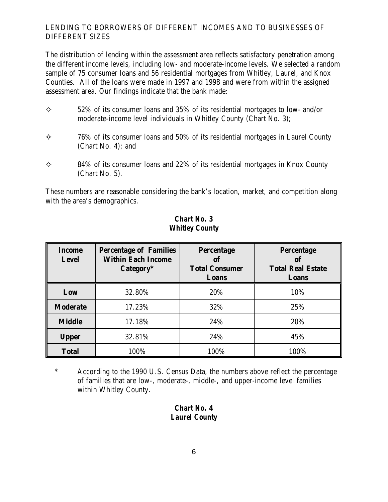# LENDING TO BORROWERS OF DIFFERENT INCOMES AND TO BUSINESSES OF DIFFERENT SIZES

The distribution of lending within the assessment area reflects satisfactory penetration among the different income levels, including low- and moderate-income levels. We selected a random sample of 75 consumer loans and 56 residential mortgages from Whitley, Laurel, and Knox Counties. All of the loans were made in 1997 and 1998 and were from within the assigned assessment area. Our findings indicate that the bank made:

- $\diamond$  52% of its consumer loans and 35% of its residential mortgages to low- and/or moderate-income level individuals in Whitley County (Chart No. 3);
- $\diamond$  76% of its consumer loans and 50% of its residential mortgages in Laurel County (Chart No. 4); and
- $\diamond$  84% of its consumer loans and 22% of its residential mortgages in Knox County (Chart No. 5).

These numbers are reasonable considering the bank's location, market, and competition along with the area's demographics.

| <b>Income</b><br><b>Level</b> | <b>Percentage of Families</b><br><b>Within Each Income</b><br>Category* | <b>Percentage</b><br>of<br><b>Total Consumer</b><br>Loans | <b>Percentage</b><br><b>of</b><br><b>Total Real Estate</b><br>Loans |
|-------------------------------|-------------------------------------------------------------------------|-----------------------------------------------------------|---------------------------------------------------------------------|
| Low                           | 32.80%                                                                  | 20%                                                       | 10%                                                                 |
| <b>Moderate</b>               | 17.23%                                                                  | 32%                                                       | 25%                                                                 |
| <b>Middle</b>                 | 17.18%                                                                  | 24%                                                       | 20%                                                                 |
| <b>Upper</b>                  | 32.81%                                                                  | 24%                                                       | 45%                                                                 |
| <b>Total</b>                  | 100%                                                                    | 100%                                                      | 100%                                                                |

# *Chart No. 3 Whitley County*

\* According to the 1990 U.S. Census Data, the numbers above reflect the percentage of families that are low-, moderate-, middle-, and upper-income level families within Whitley County.

# *Chart No. 4 Laurel County*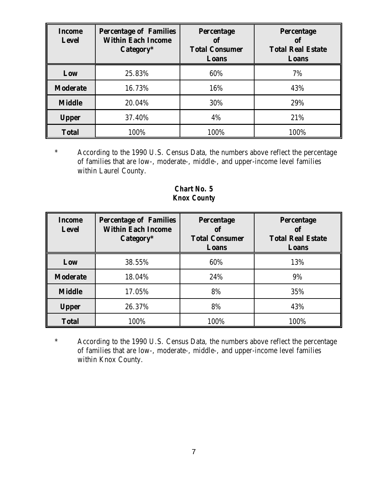| <b>Income</b><br><b>Level</b> | <b>Percentage of Families</b><br><b>Within Each Income</b><br>Category* | <b>Percentage</b><br>of<br><b>Total Consumer</b><br>Loans | <b>Percentage</b><br><b>of</b><br><b>Total Real Estate</b><br>Loans |
|-------------------------------|-------------------------------------------------------------------------|-----------------------------------------------------------|---------------------------------------------------------------------|
| Low                           | 25.83%                                                                  | 60%                                                       | 7%                                                                  |
| <b>Moderate</b>               | 16.73%                                                                  | 16%                                                       | 43%                                                                 |
| <b>Middle</b>                 | 20.04%                                                                  | 30%                                                       | 29%                                                                 |
| <b>Upper</b>                  | 37.40%                                                                  | 4%                                                        | 21%                                                                 |
| <b>Total</b>                  | 100%                                                                    | 100%                                                      | 100%                                                                |

\* According to the 1990 U.S. Census Data, the numbers above reflect the percentage of families that are low-, moderate-, middle-, and upper-income level families within Laurel County.

*Chart No. 5 Knox County*

| <b>Income</b><br><b>Level</b> | <b>Percentage of Families</b><br><b>Within Each Income</b><br>Category* | <b>Percentage</b><br>of<br><b>Total Consumer</b><br>Loans | <b>Percentage</b><br>of<br><b>Total Real Estate</b><br>Loans |
|-------------------------------|-------------------------------------------------------------------------|-----------------------------------------------------------|--------------------------------------------------------------|
| Low                           | 38.55%                                                                  | 60%                                                       | 13%                                                          |
| <b>Moderate</b>               | 18.04%                                                                  | 24%                                                       | 9%                                                           |
| <b>Middle</b>                 | 17.05%                                                                  | 8%                                                        | 35%                                                          |
| <b>Upper</b>                  | 26.37%                                                                  | 8%                                                        | 43%                                                          |
| <b>Total</b>                  | 100%                                                                    | 100%                                                      | 100%                                                         |

\* According to the 1990 U.S. Census Data, the numbers above reflect the percentage of families that are low-, moderate-, middle-, and upper-income level families within Knox County.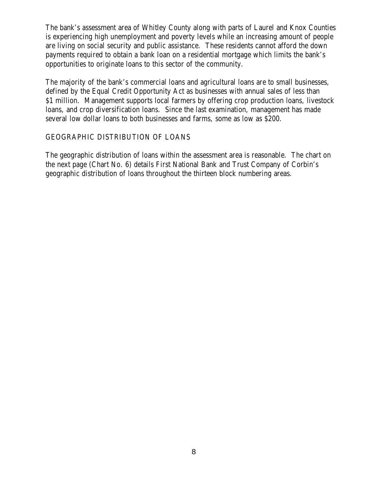The bank's assessment area of Whitley County along with parts of Laurel and Knox Counties is experiencing high unemployment and poverty levels while an increasing amount of people are living on social security and public assistance. These residents cannot afford the down payments required to obtain a bank loan on a residential mortgage which limits the bank's opportunities to originate loans to this sector of the community.

The majority of the bank's commercial loans and agricultural loans are to small businesses, defined by the Equal Credit Opportunity Act as businesses with annual sales of less than \$1 million. Management supports local farmers by offering crop production loans, livestock loans, and crop diversification loans. Since the last examination, management has made several low dollar loans to both businesses and farms, some as low as \$200.

### GEOGRAPHIC DISTRIBUTION OF LOANS

The geographic distribution of loans within the assessment area is reasonable. The chart on the next page (Chart No. 6) details First National Bank and Trust Company of Corbin's geographic distribution of loans throughout the thirteen block numbering areas.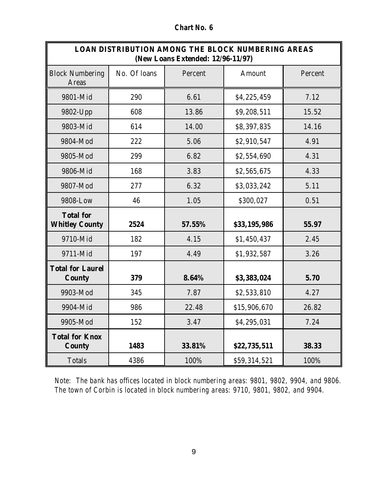| <b>Chart No. 6</b> |
|--------------------|
|--------------------|

| <b>LOAN DISTRIBUTION AMONG THE BLOCK NUMBERING AREAS</b><br>(New Loans Extended: 12/96-11/97) |              |         |              |         |
|-----------------------------------------------------------------------------------------------|--------------|---------|--------------|---------|
| <b>Block Numbering</b><br><b>Areas</b>                                                        | No. Of loans | Percent | Amount       | Percent |
| 9801-Mid                                                                                      | 290          | 6.61    | \$4,225,459  | 7.12    |
| 9802-Upp                                                                                      | 608          | 13.86   | \$9,208,511  | 15.52   |
| 9803-Mid                                                                                      | 614          | 14.00   | \$8,397,835  | 14.16   |
| 9804-Mod                                                                                      | 222          | 5.06    | \$2,910,547  | 4.91    |
| 9805-Mod                                                                                      | 299          | 6.82    | \$2,554,690  | 4.31    |
| 9806-Mid                                                                                      | 168          | 3.83    | \$2,565,675  | 4.33    |
| 9807-Mod                                                                                      | 277          | 6.32    | \$3,033,242  | 5.11    |
| 9808-Low                                                                                      | 46           | 1.05    | \$300,027    | 0.51    |
| <b>Total for</b><br><b>Whitley County</b>                                                     | 2524         | 57.55%  | \$33,195,986 | 55.97   |
| 9710-Mid                                                                                      | 182          | 4.15    | \$1,450,437  | 2.45    |
| 9711-Mid                                                                                      | 197          | 4.49    | \$1,932,587  | 3.26    |
| <b>Total for Laurel</b><br><b>County</b>                                                      | 379          | 8.64%   | \$3,383,024  | 5.70    |
| 9903-Mod                                                                                      | 345          | 7.87    | \$2,533,810  | 4.27    |
| 9904-Mid                                                                                      | 986          | 22.48   | \$15,906,670 | 26.82   |
| 9905-Mod                                                                                      | 152          | 3.47    | \$4,295,031  | 7.24    |
| <b>Total for Knox</b><br><b>County</b>                                                        | 1483         | 33.81%  | \$22,735,511 | 38.33   |
| <b>Totals</b>                                                                                 | 4386         | 100%    | \$59,314,521 | 100%    |

*Note: The bank has offices located in block numbering areas: 9801, 9802, 9904, and 9806. The town of Corbin is located in block numbering areas: 9710, 9801, 9802, and 9904.*